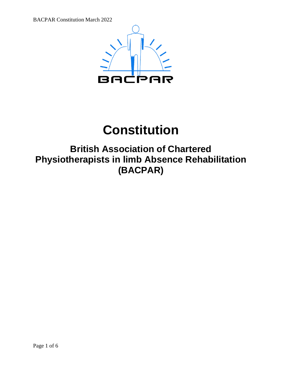

# **Constitution**

# **British Association of Chartered Physiotherapists in limb Absence Rehabilitation (BACPAR)**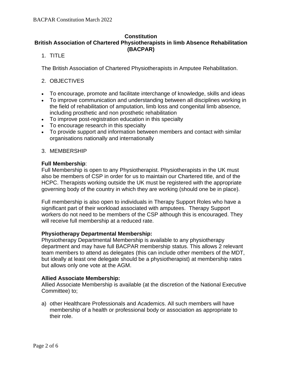# **Constitution British Association of Chartered Physiotherapists in limb Absence Rehabilitation (BACPAR)**

# 1. TITLE

The British Association of Chartered Physiotherapists in Amputee Rehabilitation.

# 2. OBJECTIVES

- To encourage, promote and facilitate interchange of knowledge, skills and ideas
- To improve communication and understanding between all disciplines working in the field of rehabilitation of amputation, limb loss and congenital limb absence, including prosthetic and non prosthetic rehabilitation
- To improve post-registration education in this specialty
- To encourage research in this specialty
- To provide support and information between members and contact with similar organisations nationally and internationally

# 3. MEMBERSHIP

# **Full Membership**:

Full Membership is open to any Physiotherapist. Physiotherapists in the UK must also be members of CSP in order for us to maintain our Chartered title, and of the HCPC. Therapists working outside the UK must be registered with the appropriate governing body of the country in which they are working (should one be in place).

Full membership is also open to individuals in Therapy Support Roles who have a significant part of their workload associated with amputees. Therapy Support workers do not need to be members of the CSP although this is encouraged. They will receive full membership at a reduced rate.

# **Physiotherapy Departmental Membership:**

Physiotherapy Departmental Membership is available to any physiotherapy department and may have full BACPAR membership status. This allows 2 relevant team members to attend as delegates (this can include other members of the MDT, but ideally at least one delegate should be a physiotherapist) at membership rates but allows only one vote at the AGM.

### **Allied Associate Membership:**

Allied Associate Membership is available (at the discretion of the National Executive Committee) to;

a) other Healthcare Professionals and Academics. All such members will have membership of a health or professional body or association as appropriate to their role.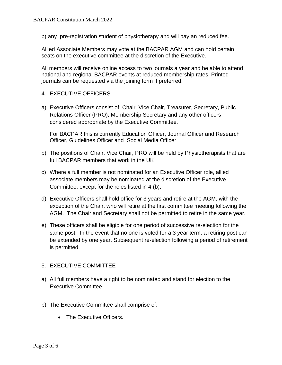b) any pre-registration student of physiotherapy and will pay an reduced fee.

Allied Associate Members may vote at the BACPAR AGM and can hold certain seats on the executive committee at the discretion of the Executive.

All members will receive online access to two journals a year and be able to attend national and regional BACPAR events at reduced membership rates. Printed journals can be requested via the joining form if preferred.

- 4. EXECUTIVE OFFICERS
- a) Executive Officers consist of: Chair, Vice Chair, Treasurer, Secretary, Public Relations Officer (PRO), Membership Secretary and any other officers considered appropriate by the Executive Committee.

For BACPAR this is currently Education Officer, Journal Officer and Research Officer, Guidelines Officer and Social Media Officer

- b) The positions of Chair, Vice Chair, PRO will be held by Physiotherapists that are full BACPAR members that work in the UK
- c) Where a full member is not nominated for an Executive Officer role, allied associate members may be nominated at the discretion of the Executive Committee, except for the roles listed in 4 (b).
- d) Executive Officers shall hold office for 3 years and retire at the AGM, with the exception of the Chair, who will retire at the first committee meeting following the AGM. The Chair and Secretary shall not be permitted to retire in the same year.
- e) These officers shall be eligible for one period of successive re-election for the same post. In the event that no one is voted for a 3 year term, a retiring post can be extended by one year. Subsequent re-election following a period of retirement is permitted.

### 5. EXECUTIVE COMMITTEE

- a) All full members have a right to be nominated and stand for election to the Executive Committee.
- b) The Executive Committee shall comprise of:
	- The Executive Officers.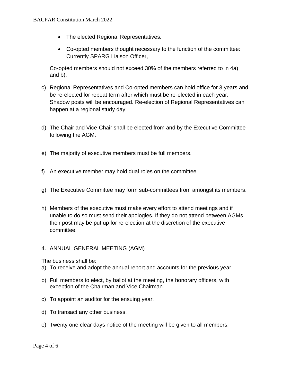- The elected Regional Representatives.
- Co-opted members thought necessary to the function of the committee: Currently SPARG Liaison Officer,

Co-opted members should not exceed 30% of the members referred to in 4a) and b).

- c) Regional Representatives and Co-opted members can hold office for 3 years and be re-elected for repeat term after which must be re-elected in each year**.** Shadow posts will be encouraged. Re-election of Regional Representatives can happen at a regional study day
- d) The Chair and Vice-Chair shall be elected from and by the Executive Committee following the AGM.
- e) The majority of executive members must be full members.
- f) An executive member may hold dual roles on the committee
- g) The Executive Committee may form sub-committees from amongst its members.
- h) Members of the executive must make every effort to attend meetings and if unable to do so must send their apologies. If they do not attend between AGMs their post may be put up for re-election at the discretion of the executive committee.
- 4. ANNUAL GENERAL MEETING (AGM)

The business shall be:

- a) To receive and adopt the annual report and accounts for the previous year.
- b) Full members to elect, by ballot at the meeting, the honorary officers, with exception of the Chairman and Vice Chairman.
- c) To appoint an auditor for the ensuing year.
- d) To transact any other business.
- e) Twenty one clear days notice of the meeting will be given to all members.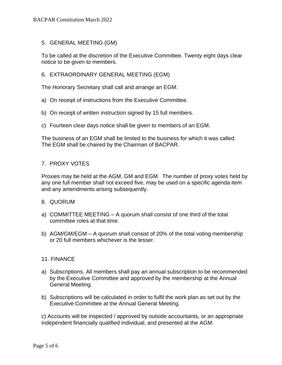### 5. GENERAL MEETING (GM)

To be called at the discretion of the Executive Committee. Twenty eight days clear notice to be given to members.

#### 6. EXTRAORDINARY GENERAL MEETING (EGM)

The Honorary Secretary shall call and arrange an EGM:

- a) On receipt of instructions from the Executive Committee.
- b) On receipt of written instruction signed by 15 full members.
- c) Fourteen clear days notice shall be given to members of an EGM.

The business of an EGM shall be limited to the business for which it was called. The EGM shall be chaired by the Chairman of BACPAR.

#### 7. PROXY VOTES

Proxies may be held at the AGM, GM and EGM. The number of proxy votes held by any one full member shall not exceed five, may be used on a specific agenda item and any amendments arising subsequently.

#### 8. QUORUM

- a) COMMITTEE MEETING A quorum shall consist of one third of the total committee roles at that time.
- b) AGM/GM/EGM A quorum shall consist of 20% of the total voting membership or 20 full members whichever is the lesser.

#### 11. FINANCE

- a) Subscriptions. All members shall pay an annual subscription to be recommended by the Executive Committee and approved by the membership at the Annual General Meeting.
- b) Subscriptions will be calculated in order to fulfil the work plan as set out by the Executive Committee at the Annual General Meeting.

c) Accounts will be inspected / approved by outside accountants, or an appropriate independent financially qualified individual, and presented at the AGM.